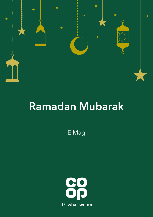

# **Ramadan Mubarak**

. . . . . . . . .

E Mag

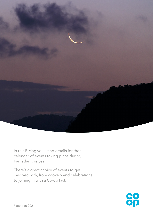

In this E Mag you'll find details for the full calendar of events taking place during Ramadan this year.

There's a great choice of events to get involved with, from cookery and celebrations to joining in with a Co-op fast.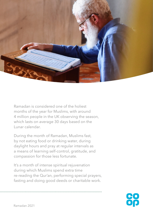

Ramadan is considered one of the holiest months of the year for Muslims, with around 4 million people in the UK observing the season, which lasts on average 30 days based on the Lunar calendar.

During the month of Ramadan, Muslims fast, by not eating food or drinking water, during daylight hours and pray at regular intervals as a means of learning self-control, gratitude, and compassion for those less fortunate.

It's a month of intense spiritual rejuvenation during which Muslims spend extra time re-reading the Qur'an, performing special prayers, fasting and doing good deeds or charitable work.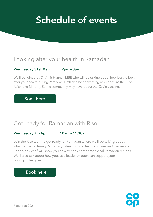# **Schedule of events**

## Looking after your health in Ramadan

#### Wednesday 31st March 2pm - 3pm

We'll be joined by Dr Amir Hannan MBE who will be talking about how best to look after your health during Ramadan. He'll also be addressing any concerns the Black, Asian and Minority Ethnic community may have about the Covid vaccine.

### **[Book here](https://forms.office.com/Pages/ResponsePage.aspx?id=tLdPg01i6E2pdy1GrZeb2bBp5Vks0dlMgpqoXw7e_DFURVpZT0c5ME1LVTlHTTQ5Nk1SWkROVlNORC4u)**

## Get ready for Ramadan with Rise

#### Wednesday 7th April 10am - 11.30am

Join the Rise team to get ready for Ramadan where we'll be talking about what happens during Ramadan, listening to colleague stories and our resident Foodology chef will show you how to cook some traditional Ramadan recipes. We'll also talk about how you, as a leader or peer, can support your fasting colleagues.

## **[Book here](https://forms.office.com/Pages/ResponsePage.aspx?id=tLdPg01i6E2pdy1GrZeb2bBp5Vks0dlMgpqoXw7e_DFUMFZNTzY1TE5SMjM0N0g1VDJKVldJSTZXTS4u)**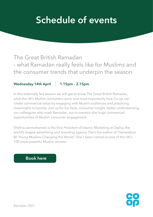# **Schedule of events**

## The Great British Ramadan - what Ramadan really feels like for Muslims and the consumer trends that underpin the season

#### **Wednesday 14th April 1.15pm – 2.15pm**

In this externally led session we will get to know The Great British Ramadan, what the UK's Muslim consumers want, and most importantly how Co-op can create commercial value by engaging with Muslim audiences and practicing meaningful inclusivity. Join us for fun facts, consumer insight, better understanding our colleagues who mark Ramadan, not to mention the huge commercial opportunities of Muslim consumer engagement.

Shelina Janmohamed is the Vice President of Islamic Marketing at Ogilvy, the world's largest advertising and branding agency. She's the author of "Generation M: Young Muslims Changing the World." She's been named as one of the UK's 100 most powerful Muslim women.

### **[Book here](https://forms.office.com/Pages/ResponsePage.aspx?id=tLdPg01i6E2pdy1GrZeb2bBp5Vks0dlMgpqoXw7e_DFUM0xOTTBVM1M4RzZEWDRCV1VISlhXN1BDNS4u)**